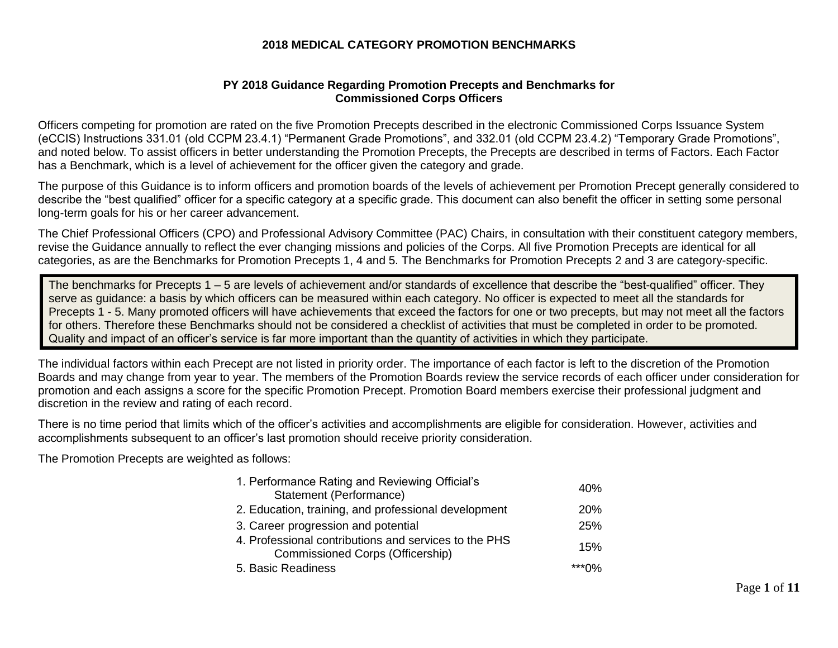## **2018 MEDICAL CATEGORY PROMOTION BENCHMARKS**

## **PY 2018 Guidance Regarding Promotion Precepts and Benchmarks for Commissioned Corps Officers**

Officers competing for promotion are rated on the five Promotion Precepts described in the electronic Commissioned Corps Issuance System (eCCIS) Instructions 331.01 (old CCPM 23.4.1) "Permanent Grade Promotions", and 332.01 (old CCPM 23.4.2) "Temporary Grade Promotions", and noted below. To assist officers in better understanding the Promotion Precepts, the Precepts are described in terms of Factors. Each Factor has a Benchmark, which is a level of achievement for the officer given the category and grade.

The purpose of this Guidance is to inform officers and promotion boards of the levels of achievement per Promotion Precept generally considered to describe the "best qualified" officer for a specific category at a specific grade. This document can also benefit the officer in setting some personal long-term goals for his or her career advancement.

The Chief Professional Officers (CPO) and Professional Advisory Committee (PAC) Chairs, in consultation with their constituent category members, revise the Guidance annually to reflect the ever changing missions and policies of the Corps. All five Promotion Precepts are identical for all categories, as are the Benchmarks for Promotion Precepts 1, 4 and 5. The Benchmarks for Promotion Precepts 2 and 3 are category-specific.

The benchmarks for Precepts 1 – 5 are levels of achievement and/or standards of excellence that describe the "best-qualified" officer. They serve as guidance: a basis by which officers can be measured within each category. No officer is expected to meet all the standards for Precepts 1 - 5. Many promoted officers will have achievements that exceed the factors for one or two precepts, but may not meet all the factors for others. Therefore these Benchmarks should not be considered a checklist of activities that must be completed in order to be promoted. Quality and impact of an officer's service is far more important than the quantity of activities in which they participate.

The individual factors within each Precept are not listed in priority order. The importance of each factor is left to the discretion of the Promotion Boards and may change from year to year. The members of the Promotion Boards review the service records of each officer under consideration for promotion and each assigns a score for the specific Promotion Precept. Promotion Board members exercise their professional judgment and discretion in the review and rating of each record.

There is no time period that limits which of the officer's activities and accomplishments are eligible for consideration. However, activities and accomplishments subsequent to an officer's last promotion should receive priority consideration.

The Promotion Precepts are weighted as follows:

| 1. Performance Rating and Reviewing Official's                                                   | 40%   |
|--------------------------------------------------------------------------------------------------|-------|
| Statement (Performance)                                                                          |       |
| 2. Education, training, and professional development                                             | 20%   |
| 3. Career progression and potential                                                              | 25%   |
| 4. Professional contributions and services to the PHS<br><b>Commissioned Corps (Officership)</b> | 15%   |
| 5. Basic Readiness                                                                               | ***∩% |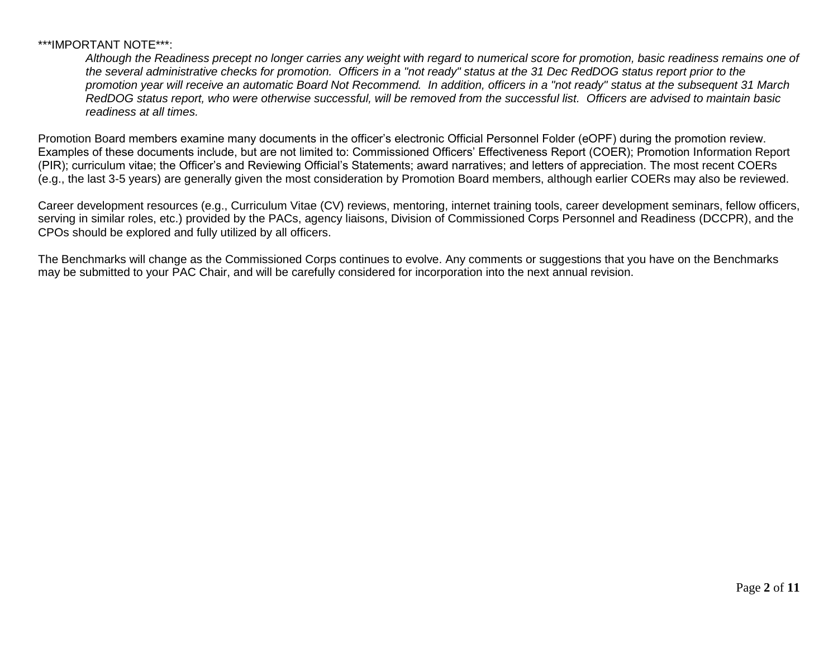## \*\*\*IMPORTANT NOTE\*\*\*:

*Although the Readiness precept no longer carries any weight with regard to numerical score for promotion, basic readiness remains one of the several administrative checks for promotion. Officers in a "not ready" status at the 31 Dec RedDOG status report prior to the promotion year will receive an automatic Board Not Recommend. In addition, officers in a "not ready" status at the subsequent 31 March RedDOG status report, who were otherwise successful, will be removed from the successful list. Officers are advised to maintain basic readiness at all times.*

Promotion Board members examine many documents in the officer's electronic Official Personnel Folder (eOPF) during the promotion review. Examples of these documents include, but are not limited to: Commissioned Officers' Effectiveness Report (COER); Promotion Information Report (PIR); curriculum vitae; the Officer's and Reviewing Official's Statements; award narratives; and letters of appreciation. The most recent COERs (e.g., the last 3-5 years) are generally given the most consideration by Promotion Board members, although earlier COERs may also be reviewed.

Career development resources (e.g., Curriculum Vitae (CV) reviews, mentoring, internet training tools, career development seminars, fellow officers, serving in similar roles, etc.) provided by the PACs, agency liaisons, Division of Commissioned Corps Personnel and Readiness (DCCPR), and the CPOs should be explored and fully utilized by all officers.

The Benchmarks will change as the Commissioned Corps continues to evolve. Any comments or suggestions that you have on the Benchmarks may be submitted to your PAC Chair, and will be carefully considered for incorporation into the next annual revision.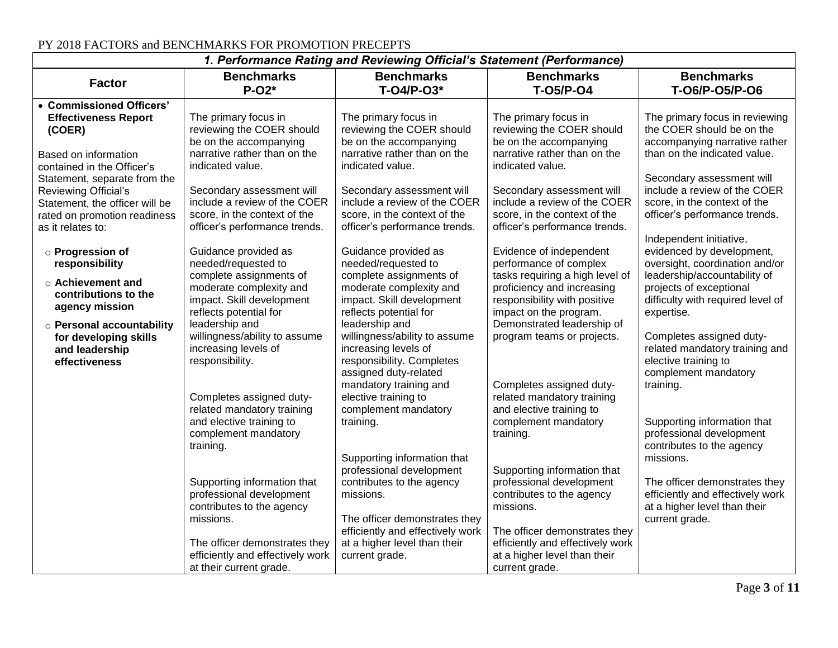| 1. Performance Rating and Reviewing Official's Statement (Performance)                                                                                  |                                                                                                                                                                            |                                                                                                                                                                                       |                                                                                                                                                                                                            |                                                                                                                                                                                                      |
|---------------------------------------------------------------------------------------------------------------------------------------------------------|----------------------------------------------------------------------------------------------------------------------------------------------------------------------------|---------------------------------------------------------------------------------------------------------------------------------------------------------------------------------------|------------------------------------------------------------------------------------------------------------------------------------------------------------------------------------------------------------|------------------------------------------------------------------------------------------------------------------------------------------------------------------------------------------------------|
| <b>Factor</b>                                                                                                                                           | <b>Benchmarks</b><br>$P-O2*$                                                                                                                                               | <b>Benchmarks</b><br>$T-O4/P-O3*$                                                                                                                                                     | <b>Benchmarks</b><br><b>T-05/P-04</b>                                                                                                                                                                      | <b>Benchmarks</b><br>T-06/P-05/P-06                                                                                                                                                                  |
| • Commissioned Officers'<br><b>Effectiveness Report</b><br>(COER)<br>Based on information<br>contained in the Officer's<br>Statement, separate from the | The primary focus in<br>reviewing the COER should<br>be on the accompanying<br>narrative rather than on the<br>indicated value.                                            | The primary focus in<br>reviewing the COER should<br>be on the accompanying<br>narrative rather than on the<br>indicated value.                                                       | The primary focus in<br>reviewing the COER should<br>be on the accompanying<br>narrative rather than on the<br>indicated value.                                                                            | The primary focus in reviewing<br>the COER should be on the<br>accompanying narrative rather<br>than on the indicated value.<br>Secondary assessment will                                            |
| Reviewing Official's<br>Statement, the officer will be<br>rated on promotion readiness<br>as it relates to:                                             | Secondary assessment will<br>include a review of the COER<br>score, in the context of the<br>officer's performance trends.                                                 | Secondary assessment will<br>include a review of the COER<br>score, in the context of the<br>officer's performance trends.                                                            | Secondary assessment will<br>include a review of the COER<br>score, in the context of the<br>officer's performance trends.                                                                                 | include a review of the COER<br>score, in the context of the<br>officer's performance trends.                                                                                                        |
| o Progression of<br>responsibility<br>$\circ$ Achievement and<br>contributions to the<br>agency mission<br>o Personal accountability                    | Guidance provided as<br>needed/requested to<br>complete assignments of<br>moderate complexity and<br>impact. Skill development<br>reflects potential for<br>leadership and | Guidance provided as<br>needed/requested to<br>complete assignments of<br>moderate complexity and<br>impact. Skill development<br>reflects potential for<br>leadership and            | Evidence of independent<br>performance of complex<br>tasks requiring a high level of<br>proficiency and increasing<br>responsibility with positive<br>impact on the program.<br>Demonstrated leadership of | Independent initiative,<br>evidenced by development,<br>oversight, coordination and/or<br>leadership/accountability of<br>projects of exceptional<br>difficulty with required level of<br>expertise. |
| for developing skills<br>and leadership<br>effectiveness                                                                                                | willingness/ability to assume<br>increasing levels of<br>responsibility.<br>Completes assigned duty-<br>related mandatory training                                         | willingness/ability to assume<br>increasing levels of<br>responsibility. Completes<br>assigned duty-related<br>mandatory training and<br>elective training to<br>complement mandatory | program teams or projects.<br>Completes assigned duty-<br>related mandatory training<br>and elective training to                                                                                           | Completes assigned duty-<br>related mandatory training and<br>elective training to<br>complement mandatory<br>training.                                                                              |
|                                                                                                                                                         | and elective training to<br>complement mandatory<br>training.                                                                                                              | training.<br>Supporting information that<br>professional development                                                                                                                  | complement mandatory<br>training.<br>Supporting information that                                                                                                                                           | Supporting information that<br>professional development<br>contributes to the agency<br>missions.                                                                                                    |
|                                                                                                                                                         | Supporting information that<br>professional development<br>contributes to the agency<br>missions.                                                                          | contributes to the agency<br>missions.<br>The officer demonstrates they<br>efficiently and effectively work                                                                           | professional development<br>contributes to the agency<br>missions.<br>The officer demonstrates they                                                                                                        | The officer demonstrates they<br>efficiently and effectively work<br>at a higher level than their<br>current grade.                                                                                  |
|                                                                                                                                                         | The officer demonstrates they<br>efficiently and effectively work<br>at their current grade.                                                                               | at a higher level than their<br>current grade.                                                                                                                                        | efficiently and effectively work<br>at a higher level than their<br>current grade.                                                                                                                         |                                                                                                                                                                                                      |

## PY 2018 FACTORS and BENCHMARKS FOR PROMOTION PRECEPTS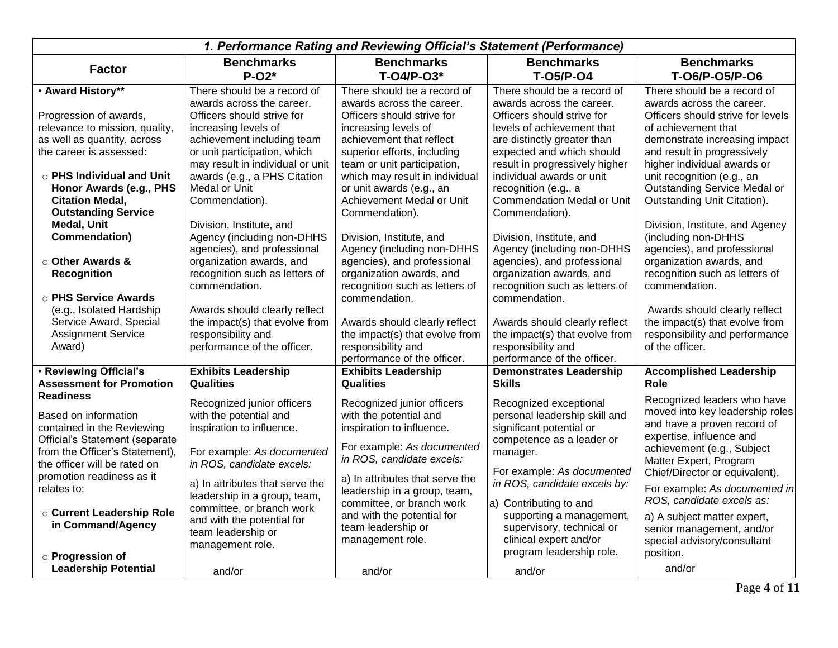|                                                        |                                                            | 1. Performance Rating and Reviewing Official's Statement (Performance) |                                                                 |                                                                  |
|--------------------------------------------------------|------------------------------------------------------------|------------------------------------------------------------------------|-----------------------------------------------------------------|------------------------------------------------------------------|
| <b>Factor</b>                                          | <b>Benchmarks</b><br>$P-O2*$                               | <b>Benchmarks</b><br>T-04/P-03*                                        | <b>Benchmarks</b><br><b>T-05/P-04</b>                           | <b>Benchmarks</b><br>T-06/P-05/P-06                              |
| • Award History**                                      | There should be a record of                                | There should be a record of                                            | There should be a record of                                     | There should be a record of                                      |
|                                                        | awards across the career.                                  | awards across the career.                                              | awards across the career.                                       | awards across the career.                                        |
| Progression of awards,                                 | Officers should strive for                                 | Officers should strive for                                             | Officers should strive for                                      | Officers should strive for levels                                |
| relevance to mission, quality,                         | increasing levels of                                       | increasing levels of                                                   | levels of achievement that                                      | of achievement that                                              |
| as well as quantity, across<br>the career is assessed: | achievement including team<br>or unit participation, which | achievement that reflect<br>superior efforts, including                | are distinctly greater than<br>expected and which should        | demonstrate increasing impact<br>and result in progressively     |
|                                                        | may result in individual or unit                           | team or unit participation,                                            | result in progressively higher                                  | higher individual awards or                                      |
| $\circ$ PHS Individual and Unit                        | awards (e.g., a PHS Citation                               | which may result in individual                                         | individual awards or unit                                       | unit recognition (e.g., an                                       |
| Honor Awards (e.g., PHS                                | Medal or Unit                                              | or unit awards (e.g., an                                               | recognition (e.g., a                                            | Outstanding Service Medal or                                     |
| <b>Citation Medal,</b>                                 | Commendation).                                             | Achievement Medal or Unit                                              | <b>Commendation Medal or Unit</b>                               | Outstanding Unit Citation).                                      |
| <b>Outstanding Service</b>                             |                                                            | Commendation).                                                         | Commendation).                                                  |                                                                  |
| <b>Medal, Unit</b>                                     | Division, Institute, and                                   |                                                                        |                                                                 | Division, Institute, and Agency                                  |
| <b>Commendation</b> )                                  | Agency (including non-DHHS                                 | Division, Institute, and                                               | Division, Institute, and                                        | (including non-DHHS                                              |
|                                                        | agencies), and professional                                | Agency (including non-DHHS                                             | Agency (including non-DHHS                                      | agencies), and professional                                      |
| ○ Other Awards &                                       | organization awards, and                                   | agencies), and professional                                            | agencies), and professional                                     | organization awards, and                                         |
| <b>Recognition</b>                                     | recognition such as letters of                             | organization awards, and                                               | organization awards, and                                        | recognition such as letters of                                   |
|                                                        | commendation.                                              | recognition such as letters of                                         | recognition such as letters of                                  | commendation.                                                    |
| ○ PHS Service Awards                                   |                                                            | commendation.                                                          | commendation.                                                   |                                                                  |
| (e.g., Isolated Hardship                               | Awards should clearly reflect                              |                                                                        |                                                                 | Awards should clearly reflect                                    |
| Service Award, Special<br><b>Assignment Service</b>    | the impact(s) that evolve from<br>responsibility and       | Awards should clearly reflect<br>the impact(s) that evolve from        | Awards should clearly reflect<br>the impact(s) that evolve from | the impact(s) that evolve from<br>responsibility and performance |
| Award)                                                 | performance of the officer.                                | responsibility and                                                     | responsibility and                                              | of the officer.                                                  |
|                                                        |                                                            | performance of the officer.                                            | performance of the officer.                                     |                                                                  |
| . Reviewing Official's                                 | <b>Exhibits Leadership</b>                                 | <b>Exhibits Leadership</b>                                             | <b>Demonstrates Leadership</b>                                  | <b>Accomplished Leadership</b>                                   |
| <b>Assessment for Promotion</b>                        | <b>Qualities</b>                                           | <b>Qualities</b>                                                       | <b>Skills</b>                                                   | Role                                                             |
| <b>Readiness</b>                                       |                                                            |                                                                        |                                                                 | Recognized leaders who have                                      |
| Based on information                                   | Recognized junior officers                                 | Recognized junior officers<br>with the potential and                   | Recognized exceptional<br>personal leadership skill and         | moved into key leadership roles                                  |
| contained in the Reviewing                             | with the potential and<br>inspiration to influence.        | inspiration to influence.                                              | significant potential or                                        | and have a proven record of                                      |
| Official's Statement (separate                         |                                                            |                                                                        | competence as a leader or                                       | expertise, influence and                                         |
| from the Officer's Statement),                         | For example: As documented                                 | For example: As documented                                             | manager.                                                        | achievement (e.g., Subject                                       |
| the officer will be rated on                           | in ROS, candidate excels:                                  | in ROS, candidate excels:                                              |                                                                 | Matter Expert, Program                                           |
| promotion readiness as it                              |                                                            | a) In attributes that serve the                                        | For example: As documented                                      | Chief/Director or equivalent).                                   |
| relates to:                                            | a) In attributes that serve the                            | leadership in a group, team,                                           | in ROS, candidate excels by:                                    | For example: As documented in                                    |
|                                                        | leadership in a group, team,                               | committee, or branch work                                              | a) Contributing to and                                          | ROS, candidate excels as:                                        |
| ○ Current Leadership Role                              | committee, or branch work                                  | and with the potential for                                             | supporting a management,                                        | a) A subject matter expert,                                      |
| in Command/Agency                                      | and with the potential for<br>team leadership or           | team leadership or                                                     | supervisory, technical or                                       | senior management, and/or                                        |
|                                                        | management role.                                           | management role.                                                       | clinical expert and/or                                          | special advisory/consultant                                      |
| o Progression of                                       |                                                            |                                                                        | program leadership role.                                        | position.                                                        |
| <b>Leadership Potential</b>                            | and/or                                                     | and/or                                                                 | and/or                                                          | and/or                                                           |
|                                                        |                                                            |                                                                        |                                                                 |                                                                  |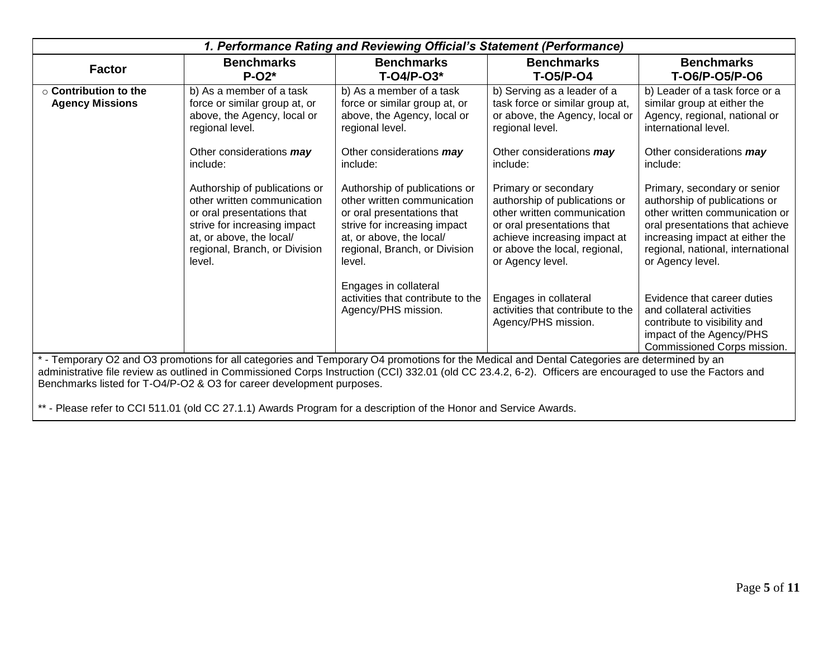| 1. Performance Rating and Reviewing Official's Statement (Performance)                                                                                                                                                                                                                                                                                                              |                                                                                                                                                                                                   |                                                                                                                                                                                                   |                                                                                                                                                                                                         |                                                                                                                                                                                                                                |
|-------------------------------------------------------------------------------------------------------------------------------------------------------------------------------------------------------------------------------------------------------------------------------------------------------------------------------------------------------------------------------------|---------------------------------------------------------------------------------------------------------------------------------------------------------------------------------------------------|---------------------------------------------------------------------------------------------------------------------------------------------------------------------------------------------------|---------------------------------------------------------------------------------------------------------------------------------------------------------------------------------------------------------|--------------------------------------------------------------------------------------------------------------------------------------------------------------------------------------------------------------------------------|
| <b>Factor</b>                                                                                                                                                                                                                                                                                                                                                                       | <b>Benchmarks</b><br>$P-O2*$                                                                                                                                                                      | <b>Benchmarks</b><br>$T-O4/P-O3*$                                                                                                                                                                 | <b>Benchmarks</b><br><b>T-05/P-04</b>                                                                                                                                                                   | <b>Benchmarks</b><br>T-06/P-05/P-06                                                                                                                                                                                            |
| $\circ$ Contribution to the<br><b>Agency Missions</b>                                                                                                                                                                                                                                                                                                                               | b) As a member of a task<br>force or similar group at, or<br>above, the Agency, local or<br>regional level.                                                                                       | b) As a member of a task<br>force or similar group at, or<br>above, the Agency, local or<br>regional level.                                                                                       | b) Serving as a leader of a<br>task force or similar group at,<br>or above, the Agency, local or<br>regional level.                                                                                     | b) Leader of a task force or a<br>similar group at either the<br>Agency, regional, national or<br>international level.                                                                                                         |
|                                                                                                                                                                                                                                                                                                                                                                                     | Other considerations may<br>include:                                                                                                                                                              | Other considerations may<br>include:                                                                                                                                                              | Other considerations may<br>include:                                                                                                                                                                    | Other considerations may<br>include:                                                                                                                                                                                           |
|                                                                                                                                                                                                                                                                                                                                                                                     | Authorship of publications or<br>other written communication<br>or oral presentations that<br>strive for increasing impact<br>at, or above, the local/<br>regional, Branch, or Division<br>level. | Authorship of publications or<br>other written communication<br>or oral presentations that<br>strive for increasing impact<br>at, or above, the local/<br>regional, Branch, or Division<br>level. | Primary or secondary<br>authorship of publications or<br>other written communication<br>or oral presentations that<br>achieve increasing impact at<br>or above the local, regional,<br>or Agency level. | Primary, secondary or senior<br>authorship of publications or<br>other written communication or<br>oral presentations that achieve<br>increasing impact at either the<br>regional, national, international<br>or Agency level. |
|                                                                                                                                                                                                                                                                                                                                                                                     |                                                                                                                                                                                                   | Engages in collateral<br>activities that contribute to the<br>Agency/PHS mission.                                                                                                                 | Engages in collateral<br>activities that contribute to the<br>Agency/PHS mission.                                                                                                                       | Evidence that career duties<br>and collateral activities<br>contribute to visibility and<br>impact of the Agency/PHS<br>Commissioned Corps mission.                                                                            |
| * - Temporary O2 and O3 promotions for all categories and Temporary O4 promotions for the Medical and Dental Categories are determined by an<br>administrative file review as outlined in Commissioned Corps Instruction (CCI) 332.01 (old CC 23.4.2, 6-2). Officers are encouraged to use the Factors and<br>Benchmarks listed for T-O4/P-O2 & O3 for career development purposes. |                                                                                                                                                                                                   |                                                                                                                                                                                                   |                                                                                                                                                                                                         |                                                                                                                                                                                                                                |

\*\* - Please refer to CCI 511.01 (old CC 27.1.1) Awards Program for a description of the Honor and Service Awards.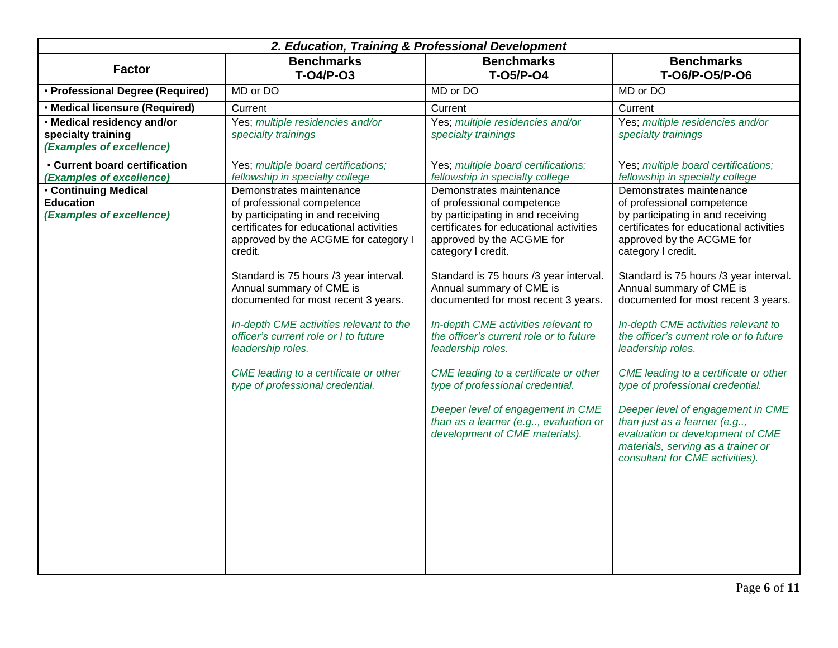|                                                                              | 2. Education, Training & Professional Development                                                                                                                                                                                                                                                                                                                                                                                                                                            |                                                                                                                                                                                                                                                                                                                                                                                                                                                                                                                                                                                                            |                                                                                                                                                                                                                                                                                                                                                                                                                                                                                                                                                                                                                                                                              |  |  |
|------------------------------------------------------------------------------|----------------------------------------------------------------------------------------------------------------------------------------------------------------------------------------------------------------------------------------------------------------------------------------------------------------------------------------------------------------------------------------------------------------------------------------------------------------------------------------------|------------------------------------------------------------------------------------------------------------------------------------------------------------------------------------------------------------------------------------------------------------------------------------------------------------------------------------------------------------------------------------------------------------------------------------------------------------------------------------------------------------------------------------------------------------------------------------------------------------|------------------------------------------------------------------------------------------------------------------------------------------------------------------------------------------------------------------------------------------------------------------------------------------------------------------------------------------------------------------------------------------------------------------------------------------------------------------------------------------------------------------------------------------------------------------------------------------------------------------------------------------------------------------------------|--|--|
| <b>Factor</b>                                                                | <b>Benchmarks</b><br>T-04/P-03                                                                                                                                                                                                                                                                                                                                                                                                                                                               | <b>Benchmarks</b><br><b>T-05/P-04</b>                                                                                                                                                                                                                                                                                                                                                                                                                                                                                                                                                                      | <b>Benchmarks</b><br>T-06/P-05/P-06                                                                                                                                                                                                                                                                                                                                                                                                                                                                                                                                                                                                                                          |  |  |
| · Professional Degree (Required)                                             | MD or DO                                                                                                                                                                                                                                                                                                                                                                                                                                                                                     | MD or DO                                                                                                                                                                                                                                                                                                                                                                                                                                                                                                                                                                                                   | MD or DO                                                                                                                                                                                                                                                                                                                                                                                                                                                                                                                                                                                                                                                                     |  |  |
| · Medical licensure (Required)                                               | Current                                                                                                                                                                                                                                                                                                                                                                                                                                                                                      | Current                                                                                                                                                                                                                                                                                                                                                                                                                                                                                                                                                                                                    | Current                                                                                                                                                                                                                                                                                                                                                                                                                                                                                                                                                                                                                                                                      |  |  |
| . Medical residency and/or<br>specialty training<br>(Examples of excellence) | Yes; multiple residencies and/or<br>specialty trainings                                                                                                                                                                                                                                                                                                                                                                                                                                      | Yes; multiple residencies and/or<br>specialty trainings                                                                                                                                                                                                                                                                                                                                                                                                                                                                                                                                                    | Yes; multiple residencies and/or<br>specialty trainings                                                                                                                                                                                                                                                                                                                                                                                                                                                                                                                                                                                                                      |  |  |
| <b>Current board certification</b><br>(Examples of excellence)               | Yes; multiple board certifications;<br>fellowship in specialty college                                                                                                                                                                                                                                                                                                                                                                                                                       | Yes; multiple board certifications;<br>fellowship in specialty college                                                                                                                                                                                                                                                                                                                                                                                                                                                                                                                                     | Yes; multiple board certifications;<br>fellowship in specialty college                                                                                                                                                                                                                                                                                                                                                                                                                                                                                                                                                                                                       |  |  |
| <b>Continuing Medical</b><br><b>Education</b><br>(Examples of excellence)    | Demonstrates maintenance<br>of professional competence<br>by participating in and receiving<br>certificates for educational activities<br>approved by the ACGME for category I<br>credit.<br>Standard is 75 hours /3 year interval.<br>Annual summary of CME is<br>documented for most recent 3 years.<br>In-depth CME activities relevant to the<br>officer's current role or I to future<br>leadership roles.<br>CME leading to a certificate or other<br>type of professional credential. | Demonstrates maintenance<br>of professional competence<br>by participating in and receiving<br>certificates for educational activities<br>approved by the ACGME for<br>category I credit.<br>Standard is 75 hours /3 year interval.<br>Annual summary of CME is<br>documented for most recent 3 years.<br>In-depth CME activities relevant to<br>the officer's current role or to future<br>leadership roles.<br>CME leading to a certificate or other<br>type of professional credential.<br>Deeper level of engagement in CME<br>than as a learner (e.g, evaluation or<br>development of CME materials). | Demonstrates maintenance<br>of professional competence<br>by participating in and receiving<br>certificates for educational activities<br>approved by the ACGME for<br>category I credit.<br>Standard is 75 hours /3 year interval.<br>Annual summary of CME is<br>documented for most recent 3 years.<br>In-depth CME activities relevant to<br>the officer's current role or to future<br>leadership roles.<br>CME leading to a certificate or other<br>type of professional credential.<br>Deeper level of engagement in CME<br>than just as a learner (e.g,<br>evaluation or development of CME<br>materials, serving as a trainer or<br>consultant for CME activities). |  |  |
|                                                                              |                                                                                                                                                                                                                                                                                                                                                                                                                                                                                              |                                                                                                                                                                                                                                                                                                                                                                                                                                                                                                                                                                                                            |                                                                                                                                                                                                                                                                                                                                                                                                                                                                                                                                                                                                                                                                              |  |  |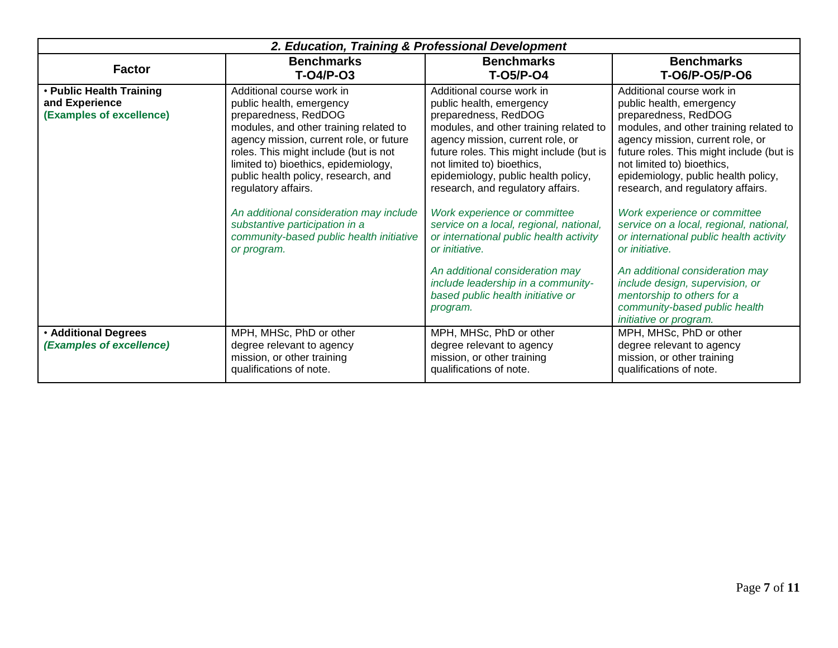| 2. Education, Training & Professional Development                      |                                                                                                                                                                                                                                                                                                                                                                                                                                                           |                                                                                                                                                                                                                                                                                                                                                                                                                                                                                                                                                                                     |                                                                                                                                                                                                                                                                                                                                                                                                                                                                                                                                                                                                                          |  |
|------------------------------------------------------------------------|-----------------------------------------------------------------------------------------------------------------------------------------------------------------------------------------------------------------------------------------------------------------------------------------------------------------------------------------------------------------------------------------------------------------------------------------------------------|-------------------------------------------------------------------------------------------------------------------------------------------------------------------------------------------------------------------------------------------------------------------------------------------------------------------------------------------------------------------------------------------------------------------------------------------------------------------------------------------------------------------------------------------------------------------------------------|--------------------------------------------------------------------------------------------------------------------------------------------------------------------------------------------------------------------------------------------------------------------------------------------------------------------------------------------------------------------------------------------------------------------------------------------------------------------------------------------------------------------------------------------------------------------------------------------------------------------------|--|
| <b>Factor</b>                                                          | <b>Benchmarks</b><br>T-04/P-03                                                                                                                                                                                                                                                                                                                                                                                                                            | <b>Benchmarks</b><br><b>T-05/P-04</b>                                                                                                                                                                                                                                                                                                                                                                                                                                                                                                                                               | <b>Benchmarks</b><br>T-06/P-05/P-06                                                                                                                                                                                                                                                                                                                                                                                                                                                                                                                                                                                      |  |
| • Public Health Training<br>and Experience<br>(Examples of excellence) | Additional course work in<br>public health, emergency<br>preparedness, RedDOG<br>modules, and other training related to<br>agency mission, current role, or future<br>roles. This might include (but is not<br>limited to) bioethics, epidemiology,<br>public health policy, research, and<br>regulatory affairs.<br>An additional consideration may include<br>substantive participation in a<br>community-based public health initiative<br>or program. | Additional course work in<br>public health, emergency<br>preparedness, RedDOG<br>modules, and other training related to<br>agency mission, current role, or<br>future roles. This might include (but is<br>not limited to) bioethics,<br>epidemiology, public health policy,<br>research, and regulatory affairs.<br>Work experience or committee<br>service on a local, regional, national,<br>or international public health activity<br>or initiative.<br>An additional consideration may<br>include leadership in a community-<br>based public health initiative or<br>program. | Additional course work in<br>public health, emergency<br>preparedness, RedDOG<br>modules, and other training related to<br>agency mission, current role, or<br>future roles. This might include (but is<br>not limited to) bioethics,<br>epidemiology, public health policy,<br>research, and regulatory affairs.<br>Work experience or committee<br>service on a local, regional, national,<br>or international public health activity<br>or initiative.<br>An additional consideration may<br>include design, supervision, or<br>mentorship to others for a<br>community-based public health<br>initiative or program. |  |
| <b>. Additional Degrees</b><br>(Examples of excellence)                | MPH, MHSc, PhD or other<br>degree relevant to agency<br>mission, or other training<br>qualifications of note.                                                                                                                                                                                                                                                                                                                                             | MPH, MHSc, PhD or other<br>degree relevant to agency<br>mission, or other training<br>qualifications of note.                                                                                                                                                                                                                                                                                                                                                                                                                                                                       | MPH, MHSc, PhD or other<br>degree relevant to agency<br>mission, or other training<br>qualifications of note.                                                                                                                                                                                                                                                                                                                                                                                                                                                                                                            |  |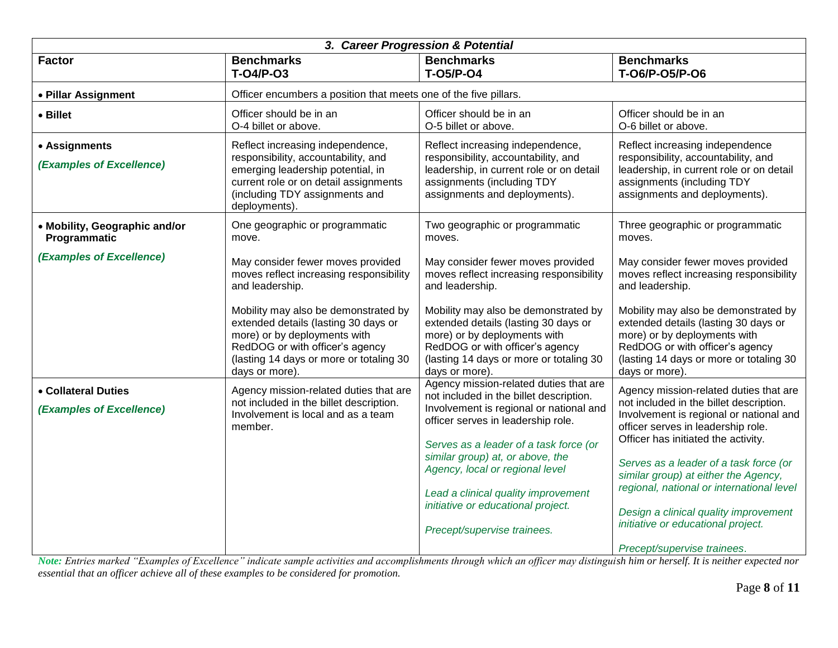| 3. Career Progression & Potential               |                                                                                                                                                                                                              |                                                                                                                                                                                                              |                                                                                                                                                                                                              |  |
|-------------------------------------------------|--------------------------------------------------------------------------------------------------------------------------------------------------------------------------------------------------------------|--------------------------------------------------------------------------------------------------------------------------------------------------------------------------------------------------------------|--------------------------------------------------------------------------------------------------------------------------------------------------------------------------------------------------------------|--|
| <b>Factor</b>                                   | <b>Benchmarks</b><br>$T-O4/P-O3$                                                                                                                                                                             | <b>Benchmarks</b><br><b>T-05/P-04</b>                                                                                                                                                                        | <b>Benchmarks</b><br>T-06/P-05/P-06                                                                                                                                                                          |  |
| • Pillar Assignment                             | Officer encumbers a position that meets one of the five pillars.                                                                                                                                             |                                                                                                                                                                                                              |                                                                                                                                                                                                              |  |
| • Billet                                        | Officer should be in an<br>O-4 billet or above.                                                                                                                                                              | Officer should be in an<br>O-5 billet or above.                                                                                                                                                              | Officer should be in an<br>O-6 billet or above.                                                                                                                                                              |  |
| • Assignments<br>(Examples of Excellence)       | Reflect increasing independence,<br>responsibility, accountability, and<br>emerging leadership potential, in<br>current role or on detail assignments<br>(including TDY assignments and<br>deployments).     | Reflect increasing independence,<br>responsibility, accountability, and<br>leadership, in current role or on detail<br>assignments (including TDY<br>assignments and deployments).                           | Reflect increasing independence<br>responsibility, accountability, and<br>leadership, in current role or on detail<br>assignments (including TDY<br>assignments and deployments).                            |  |
| • Mobility, Geographic and/or<br>Programmatic   | One geographic or programmatic<br>move.                                                                                                                                                                      | Two geographic or programmatic<br>moves.                                                                                                                                                                     | Three geographic or programmatic<br>moves.                                                                                                                                                                   |  |
| (Examples of Excellence)                        | May consider fewer moves provided<br>moves reflect increasing responsibility<br>and leadership.                                                                                                              | May consider fewer moves provided<br>moves reflect increasing responsibility<br>and leadership.                                                                                                              | May consider fewer moves provided<br>moves reflect increasing responsibility<br>and leadership.                                                                                                              |  |
|                                                 | Mobility may also be demonstrated by<br>extended details (lasting 30 days or<br>more) or by deployments with<br>RedDOG or with officer's agency<br>(lasting 14 days or more or totaling 30<br>days or more). | Mobility may also be demonstrated by<br>extended details (lasting 30 days or<br>more) or by deployments with<br>RedDOG or with officer's agency<br>(lasting 14 days or more or totaling 30<br>days or more). | Mobility may also be demonstrated by<br>extended details (lasting 30 days or<br>more) or by deployments with<br>RedDOG or with officer's agency<br>(lasting 14 days or more or totaling 30<br>days or more). |  |
| • Collateral Duties<br>(Examples of Excellence) | Agency mission-related duties that are<br>not included in the billet description.<br>Involvement is local and as a team<br>member.                                                                           | Agency mission-related duties that are<br>not included in the billet description.<br>Involvement is regional or national and<br>officer serves in leadership role.<br>Serves as a leader of a task force (or | Agency mission-related duties that are<br>not included in the billet description.<br>Involvement is regional or national and<br>officer serves in leadership role.<br>Officer has initiated the activity.    |  |
|                                                 |                                                                                                                                                                                                              | similar group) at, or above, the<br>Agency, local or regional level<br>Lead a clinical quality improvement<br>initiative or educational project.<br>Precept/supervise trainees.                              | Serves as a leader of a task force (or<br>similar group) at either the Agency,<br>regional, national or international level<br>Design a clinical quality improvement<br>initiative or educational project.   |  |
|                                                 |                                                                                                                                                                                                              |                                                                                                                                                                                                              | Precept/supervise trainees.                                                                                                                                                                                  |  |

*Note: Entries marked "Examples of Excellence" indicate sample activities and accomplishments through which an officer may distinguish him or herself. It is neither expected nor essential that an officer achieve all of these examples to be considered for promotion.*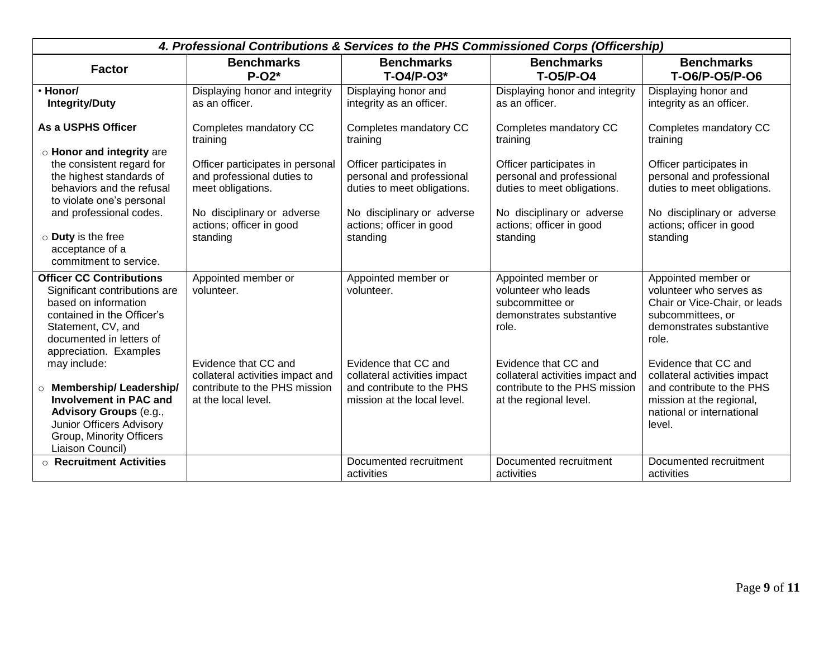|                                                                                                                                                                                                                                                  | 4. Professional Contributions & Services to the PHS Commissioned Corps (Officership)                                                                      |                                                                                                                                                           |                                                                                                                                                           |                                                                                                                                                                   |  |
|--------------------------------------------------------------------------------------------------------------------------------------------------------------------------------------------------------------------------------------------------|-----------------------------------------------------------------------------------------------------------------------------------------------------------|-----------------------------------------------------------------------------------------------------------------------------------------------------------|-----------------------------------------------------------------------------------------------------------------------------------------------------------|-------------------------------------------------------------------------------------------------------------------------------------------------------------------|--|
| <b>Factor</b>                                                                                                                                                                                                                                    | <b>Benchmarks</b><br>$P-O2*$                                                                                                                              | <b>Benchmarks</b><br>T-04/P-03*                                                                                                                           | <b>Benchmarks</b><br><b>T-05/P-04</b>                                                                                                                     | <b>Benchmarks</b><br>T-06/P-05/P-06                                                                                                                               |  |
| · Honor/<br><b>Integrity/Duty</b>                                                                                                                                                                                                                | Displaying honor and integrity<br>as an officer.                                                                                                          | Displaying honor and<br>integrity as an officer.                                                                                                          | Displaying honor and integrity<br>as an officer.                                                                                                          | Displaying honor and<br>integrity as an officer.                                                                                                                  |  |
| As a USPHS Officer                                                                                                                                                                                                                               | Completes mandatory CC<br>training                                                                                                                        | Completes mandatory CC<br>training                                                                                                                        | Completes mandatory CC<br>training                                                                                                                        | Completes mandatory CC<br>training                                                                                                                                |  |
| o Honor and integrity are<br>the consistent regard for<br>the highest standards of<br>behaviors and the refusal<br>to violate one's personal<br>and professional codes.<br>$\circ$ Duty is the free<br>acceptance of a<br>commitment to service. | Officer participates in personal<br>and professional duties to<br>meet obligations.<br>No disciplinary or adverse<br>actions; officer in good<br>standing | Officer participates in<br>personal and professional<br>duties to meet obligations.<br>No disciplinary or adverse<br>actions; officer in good<br>standing | Officer participates in<br>personal and professional<br>duties to meet obligations.<br>No disciplinary or adverse<br>actions; officer in good<br>standing | Officer participates in<br>personal and professional<br>duties to meet obligations.<br>No disciplinary or adverse<br>actions; officer in good<br>standing         |  |
| <b>Officer CC Contributions</b><br>Significant contributions are<br>based on information<br>contained in the Officer's<br>Statement, CV, and<br>documented in letters of<br>appreciation. Examples<br>may include:                               | Appointed member or<br>volunteer.<br>Evidence that CC and                                                                                                 | Appointed member or<br>volunteer.<br>Evidence that CC and                                                                                                 | Appointed member or<br>volunteer who leads<br>subcommittee or<br>demonstrates substantive<br>role.<br>Evidence that CC and                                | Appointed member or<br>volunteer who serves as<br>Chair or Vice-Chair, or leads<br>subcommittees, or<br>demonstrates substantive<br>role.<br>Evidence that CC and |  |
| <b>O</b> Membership/ Leadership/<br><b>Involvement in PAC and</b><br><b>Advisory Groups (e.g.,</b><br>Junior Officers Advisory<br>Group, Minority Officers<br>Liaison Council)                                                                   | collateral activities impact and<br>contribute to the PHS mission<br>at the local level.                                                                  | collateral activities impact<br>and contribute to the PHS<br>mission at the local level.                                                                  | collateral activities impact and<br>contribute to the PHS mission<br>at the regional level.                                                               | collateral activities impact<br>and contribute to the PHS<br>mission at the regional,<br>national or international<br>level.                                      |  |
| $\circ$ Recruitment Activities                                                                                                                                                                                                                   |                                                                                                                                                           | Documented recruitment<br>activities                                                                                                                      | Documented recruitment<br>activities                                                                                                                      | Documented recruitment<br>activities                                                                                                                              |  |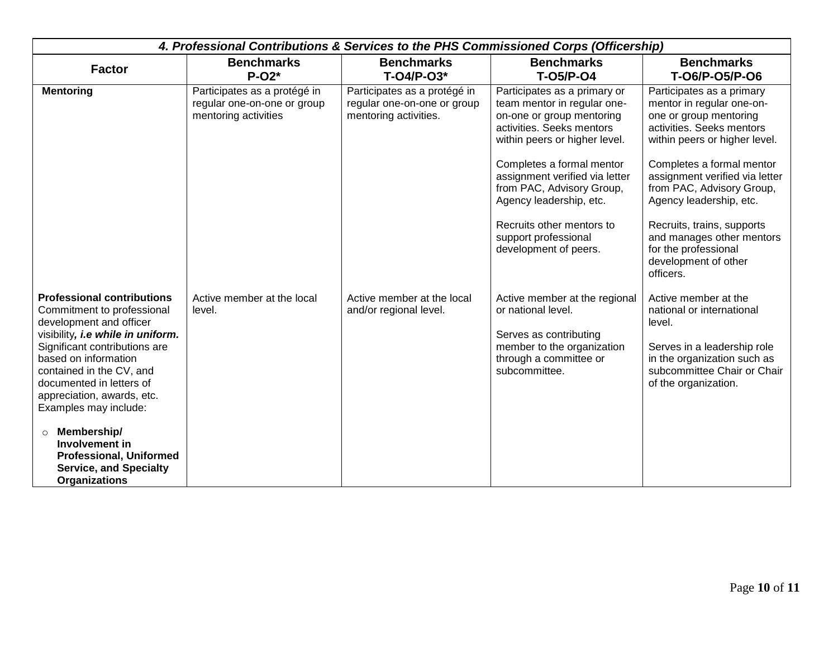|                                                                                                                                                                                                                                                                                                                                                                                                                                                | 4. Professional Contributions & Services to the PHS Commissioned Corps (Officership) |                                                                                      |                                                                                                                                                                                                                                                                                                                                                             |                                                                                                                                                                                                                                                                                                                                                                                               |  |
|------------------------------------------------------------------------------------------------------------------------------------------------------------------------------------------------------------------------------------------------------------------------------------------------------------------------------------------------------------------------------------------------------------------------------------------------|--------------------------------------------------------------------------------------|--------------------------------------------------------------------------------------|-------------------------------------------------------------------------------------------------------------------------------------------------------------------------------------------------------------------------------------------------------------------------------------------------------------------------------------------------------------|-----------------------------------------------------------------------------------------------------------------------------------------------------------------------------------------------------------------------------------------------------------------------------------------------------------------------------------------------------------------------------------------------|--|
| <b>Factor</b>                                                                                                                                                                                                                                                                                                                                                                                                                                  | <b>Benchmarks</b><br>$P-O2*$                                                         | <b>Benchmarks</b><br>$T-O4/P-O3*$                                                    | <b>Benchmarks</b><br>T-05/P-04                                                                                                                                                                                                                                                                                                                              | <b>Benchmarks</b><br>T-06/P-05/P-06                                                                                                                                                                                                                                                                                                                                                           |  |
| <b>Mentoring</b>                                                                                                                                                                                                                                                                                                                                                                                                                               | Participates as a protégé in<br>regular one-on-one or group<br>mentoring activities  | Participates as a protégé in<br>regular one-on-one or group<br>mentoring activities. | Participates as a primary or<br>team mentor in regular one-<br>on-one or group mentoring<br>activities. Seeks mentors<br>within peers or higher level.<br>Completes a formal mentor<br>assignment verified via letter<br>from PAC, Advisory Group,<br>Agency leadership, etc.<br>Recruits other mentors to<br>support professional<br>development of peers. | Participates as a primary<br>mentor in regular one-on-<br>one or group mentoring<br>activities. Seeks mentors<br>within peers or higher level.<br>Completes a formal mentor<br>assignment verified via letter<br>from PAC, Advisory Group,<br>Agency leadership, etc.<br>Recruits, trains, supports<br>and manages other mentors<br>for the professional<br>development of other<br>officers. |  |
| <b>Professional contributions</b><br>Commitment to professional<br>development and officer<br>visibility, i.e while in uniform.<br>Significant contributions are<br>based on information<br>contained in the CV, and<br>documented in letters of<br>appreciation, awards, etc.<br>Examples may include:<br>Membership/<br>$\circ$<br>Involvement in<br><b>Professional, Uniformed</b><br><b>Service, and Specialty</b><br><b>Organizations</b> | Active member at the local<br>level.                                                 | Active member at the local<br>and/or regional level.                                 | Active member at the regional<br>or national level.<br>Serves as contributing<br>member to the organization<br>through a committee or<br>subcommittee.                                                                                                                                                                                                      | Active member at the<br>national or international<br>level.<br>Serves in a leadership role<br>in the organization such as<br>subcommittee Chair or Chair<br>of the organization.                                                                                                                                                                                                              |  |